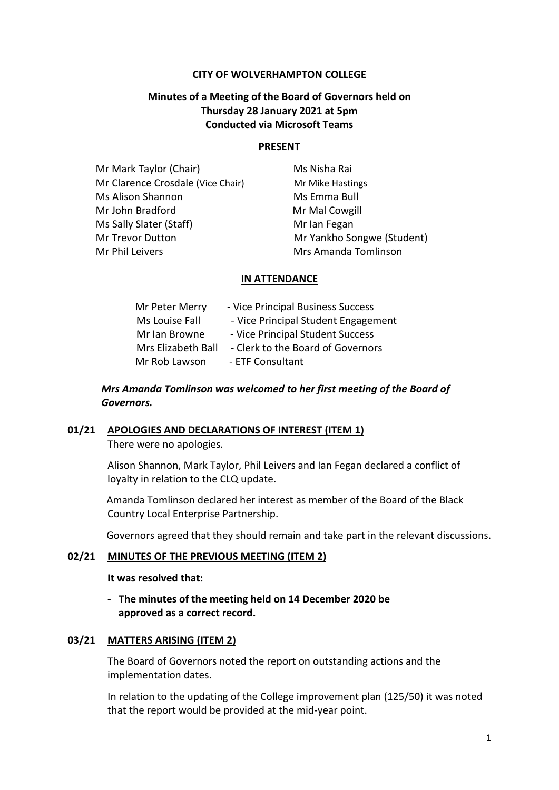#### **CITY OF WOLVERHAMPTON COLLEGE**

# **Minutes of a Meeting of the Board of Governors held on Thursday 28 January 2021 at 5pm Conducted via Microsoft Teams**

#### **PRESENT**

| Mr Mark Taylor (Chair)            | Ms Nisha Rai               |
|-----------------------------------|----------------------------|
| Mr Clarence Crosdale (Vice Chair) | Mr Mike Hastings           |
| Ms Alison Shannon                 | Ms Emma Bull               |
| Mr John Bradford                  | Mr Mal Cowgill             |
| Ms Sally Slater (Staff)           | Mr Ian Fegan               |
| Mr Trevor Dutton                  | Mr Yankho Songwe (Student) |
| Mr Phil Leivers                   | Mrs Amanda Tomlinson       |

#### **IN ATTENDANCE**

| Mr Peter Merry     | - Vice Principal Business Success   |
|--------------------|-------------------------------------|
| Ms Louise Fall     | - Vice Principal Student Engagement |
| Mr Ian Browne      | - Vice Principal Student Success    |
| Mrs Elizabeth Ball | - Clerk to the Board of Governors   |
| Mr Rob Lawson      | - ETF Consultant                    |

# *Mrs Amanda Tomlinson was welcomed to her first meeting of the Board of Governors.*

#### **01/21 APOLOGIES AND DECLARATIONS OF INTEREST (ITEM 1)**

There were no apologies.

Alison Shannon, Mark Taylor, Phil Leivers and Ian Fegan declared a conflict of loyalty in relation to the CLQ update.

 Amanda Tomlinson declared her interest as member of the Board of the Black Country Local Enterprise Partnership.

Governors agreed that they should remain and take part in the relevant discussions.

#### **02/21 MINUTES OF THE PREVIOUS MEETING (ITEM 2)**

#### **It was resolved that:**

**- The minutes of the meeting held on 14 December 2020 be approved as a correct record.**

#### **03/21 MATTERS ARISING (ITEM 2)**

The Board of Governors noted the report on outstanding actions and the implementation dates.

In relation to the updating of the College improvement plan (125/50) it was noted that the report would be provided at the mid-year point.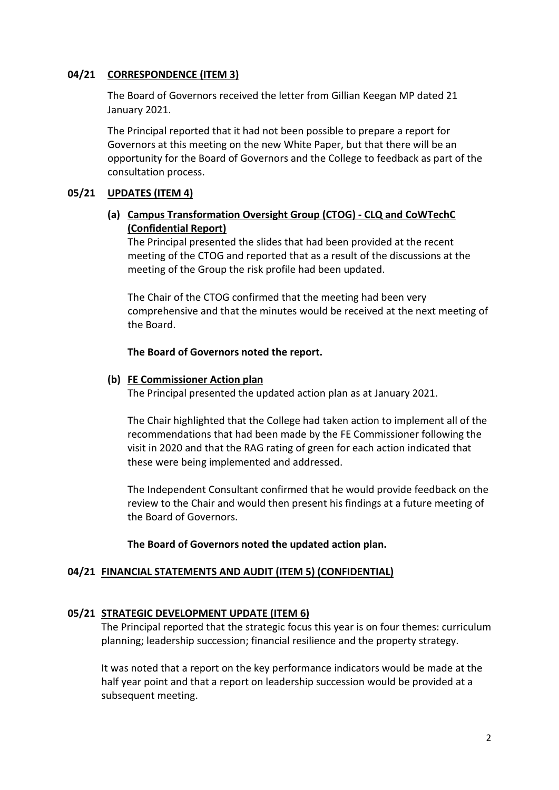# **04/21 CORRESPONDENCE (ITEM 3)**

The Board of Governors received the letter from Gillian Keegan MP dated 21 January 2021.

The Principal reported that it had not been possible to prepare a report for Governors at this meeting on the new White Paper, but that there will be an opportunity for the Board of Governors and the College to feedback as part of the consultation process.

## **05/21 UPDATES (ITEM 4)**

# **(a) Campus Transformation Oversight Group (CTOG) - CLQ and CoWTechC (Confidential Report)**

The Principal presented the slides that had been provided at the recent meeting of the CTOG and reported that as a result of the discussions at the meeting of the Group the risk profile had been updated.

The Chair of the CTOG confirmed that the meeting had been very comprehensive and that the minutes would be received at the next meeting of the Board.

## **The Board of Governors noted the report.**

## **(b) FE Commissioner Action plan**

The Principal presented the updated action plan as at January 2021.

The Chair highlighted that the College had taken action to implement all of the recommendations that had been made by the FE Commissioner following the visit in 2020 and that the RAG rating of green for each action indicated that these were being implemented and addressed.

The Independent Consultant confirmed that he would provide feedback on the review to the Chair and would then present his findings at a future meeting of the Board of Governors.

## **The Board of Governors noted the updated action plan.**

## **04/21 FINANCIAL STATEMENTS AND AUDIT (ITEM 5) (CONFIDENTIAL)**

## **05/21 STRATEGIC DEVELOPMENT UPDATE (ITEM 6)**

The Principal reported that the strategic focus this year is on four themes: curriculum planning; leadership succession; financial resilience and the property strategy.

It was noted that a report on the key performance indicators would be made at the half year point and that a report on leadership succession would be provided at a subsequent meeting.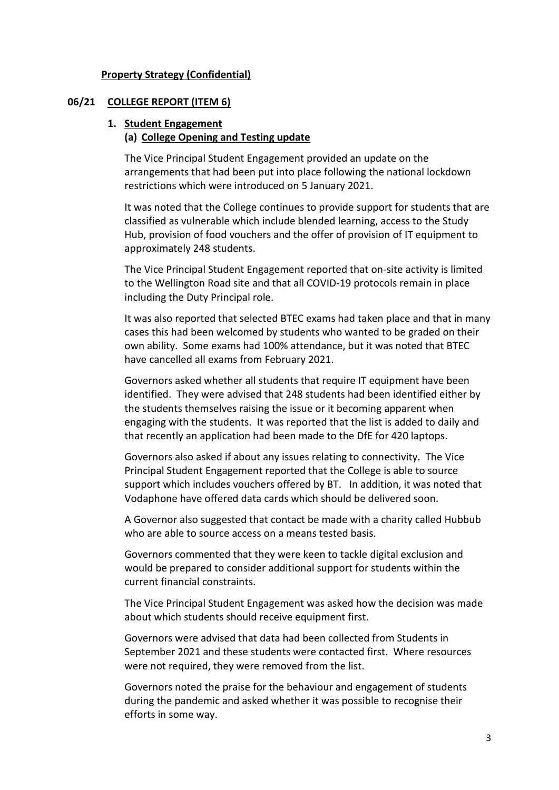#### **Property Strategy (Confidential)**

#### **06/21 COLLEGE REPORT (ITEM 6)**

# **1. Student Engagement**

# **(a) College Opening and Testing update**

The Vice Principal Student Engagement provided an update on the arrangements that had been put into place following the national lockdown restrictions which were introduced on 5 January 2021.

It was noted that the College continues to provide support for students that are classified as vulnerable which include blended learning, access to the Study Hub, provision of food vouchers and the offer of provision of IT equipment to approximately 248 students.

The Vice Principal Student Engagement reported that on-site activity is limited to the Wellington Road site and that all COVID-19 protocols remain in place including the Duty Principal role.

It was also reported that selected BTEC exams had taken place and that in many cases this had been welcomed by students who wanted to be graded on their own ability. Some exams had 100% attendance, but it was noted that BTEC have cancelled all exams from February 2021.

Governors asked whether all students that require IT equipment have been identified. They were advised that 248 students had been identified either by the students themselves raising the issue or it becoming apparent when engaging with the students. It was reported that the list is added to daily and that recently an application had been made to the DfE for 420 laptops.

Governors also asked if about any issues relating to connectivity. The Vice Principal Student Engagement reported that the College is able to source support which includes vouchers offered by BT. In addition, it was noted that Vodaphone have offered data cards which should be delivered soon.

A Governor also suggested that contact be made with a charity called Hubbub who are able to source access on a means tested basis.

Governors commented that they were keen to tackle digital exclusion and would be prepared to consider additional support for students within the current financial constraints.

The Vice Principal Student Engagement was asked how the decision was made about which students should receive equipment first.

Governors were advised that data had been collected from Students in September 2021 and these students were contacted first. Where resources were not required, they were removed from the list.

Governors noted the praise for the behaviour and engagement of students during the pandemic and asked whether it was possible to recognise their efforts in some way.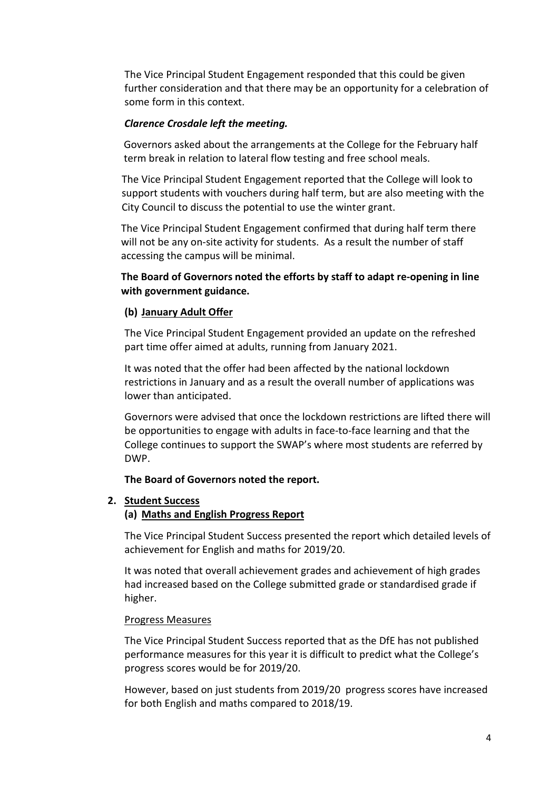The Vice Principal Student Engagement responded that this could be given further consideration and that there may be an opportunity for a celebration of some form in this context.

## *Clarence Crosdale left the meeting.*

Governors asked about the arrangements at the College for the February half term break in relation to lateral flow testing and free school meals.

The Vice Principal Student Engagement reported that the College will look to support students with vouchers during half term, but are also meeting with the City Council to discuss the potential to use the winter grant.

The Vice Principal Student Engagement confirmed that during half term there will not be any on-site activity for students. As a result the number of staff accessing the campus will be minimal.

# **The Board of Governors noted the efforts by staff to adapt re-opening in line with government guidance.**

#### **(b) January Adult Offer**

The Vice Principal Student Engagement provided an update on the refreshed part time offer aimed at adults, running from January 2021.

It was noted that the offer had been affected by the national lockdown restrictions in January and as a result the overall number of applications was lower than anticipated.

Governors were advised that once the lockdown restrictions are lifted there will be opportunities to engage with adults in face-to-face learning and that the College continues to support the SWAP's where most students are referred by DWP.

#### **The Board of Governors noted the report.**

#### **2. Student Success**

#### **(a) Maths and English Progress Report**

The Vice Principal Student Success presented the report which detailed levels of achievement for English and maths for 2019/20.

It was noted that overall achievement grades and achievement of high grades had increased based on the College submitted grade or standardised grade if higher.

#### Progress Measures

The Vice Principal Student Success reported that as the DfE has not published performance measures for this year it is difficult to predict what the College's progress scores would be for 2019/20.

However, based on just students from 2019/20 progress scores have increased for both English and maths compared to 2018/19.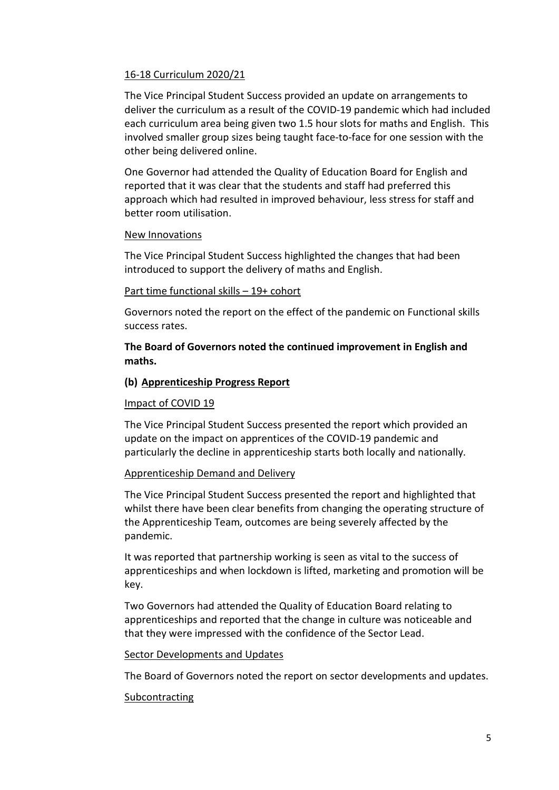# 16-18 Curriculum 2020/21

The Vice Principal Student Success provided an update on arrangements to deliver the curriculum as a result of the COVID-19 pandemic which had included each curriculum area being given two 1.5 hour slots for maths and English. This involved smaller group sizes being taught face-to-face for one session with the other being delivered online.

One Governor had attended the Quality of Education Board for English and reported that it was clear that the students and staff had preferred this approach which had resulted in improved behaviour, less stress for staff and better room utilisation.

#### New Innovations

The Vice Principal Student Success highlighted the changes that had been introduced to support the delivery of maths and English.

#### Part time functional skills – 19+ cohort

Governors noted the report on the effect of the pandemic on Functional skills success rates.

# **The Board of Governors noted the continued improvement in English and maths.**

## **(b) Apprenticeship Progress Report**

## Impact of COVID 19

The Vice Principal Student Success presented the report which provided an update on the impact on apprentices of the COVID-19 pandemic and particularly the decline in apprenticeship starts both locally and nationally.

## Apprenticeship Demand and Delivery

The Vice Principal Student Success presented the report and highlighted that whilst there have been clear benefits from changing the operating structure of the Apprenticeship Team, outcomes are being severely affected by the pandemic.

It was reported that partnership working is seen as vital to the success of apprenticeships and when lockdown is lifted, marketing and promotion will be key.

Two Governors had attended the Quality of Education Board relating to apprenticeships and reported that the change in culture was noticeable and that they were impressed with the confidence of the Sector Lead.

## Sector Developments and Updates

The Board of Governors noted the report on sector developments and updates.

## **Subcontracting**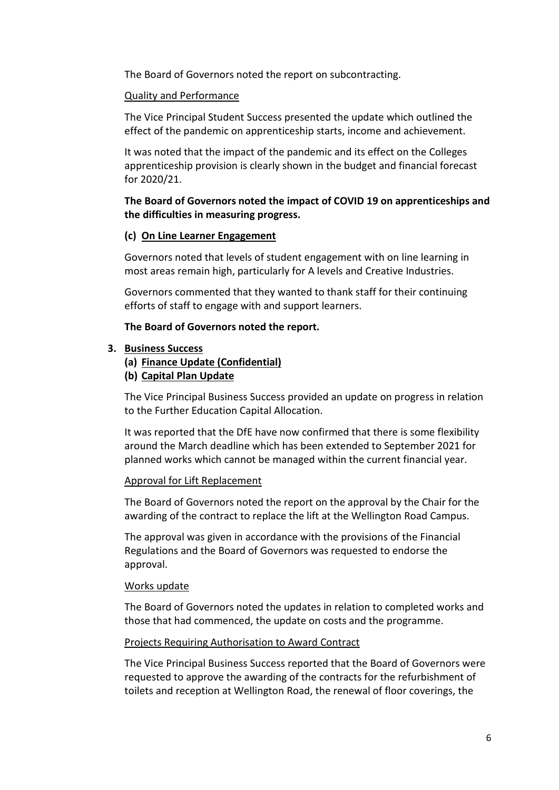The Board of Governors noted the report on subcontracting.

# Quality and Performance

The Vice Principal Student Success presented the update which outlined the effect of the pandemic on apprenticeship starts, income and achievement.

It was noted that the impact of the pandemic and its effect on the Colleges apprenticeship provision is clearly shown in the budget and financial forecast for 2020/21.

**The Board of Governors noted the impact of COVID 19 on apprenticeships and the difficulties in measuring progress.**

#### **(c) On Line Learner Engagement**

Governors noted that levels of student engagement with on line learning in most areas remain high, particularly for A levels and Creative Industries.

Governors commented that they wanted to thank staff for their continuing efforts of staff to engage with and support learners.

#### **The Board of Governors noted the report.**

#### **3. Business Success**

- **(a) Finance Update (Confidential)**
- **(b) Capital Plan Update**

The Vice Principal Business Success provided an update on progress in relation to the Further Education Capital Allocation.

It was reported that the DfE have now confirmed that there is some flexibility around the March deadline which has been extended to September 2021 for planned works which cannot be managed within the current financial year.

#### Approval for Lift Replacement

The Board of Governors noted the report on the approval by the Chair for the awarding of the contract to replace the lift at the Wellington Road Campus.

The approval was given in accordance with the provisions of the Financial Regulations and the Board of Governors was requested to endorse the approval.

#### Works update

The Board of Governors noted the updates in relation to completed works and those that had commenced, the update on costs and the programme.

#### Projects Requiring Authorisation to Award Contract

The Vice Principal Business Success reported that the Board of Governors were requested to approve the awarding of the contracts for the refurbishment of toilets and reception at Wellington Road, the renewal of floor coverings, the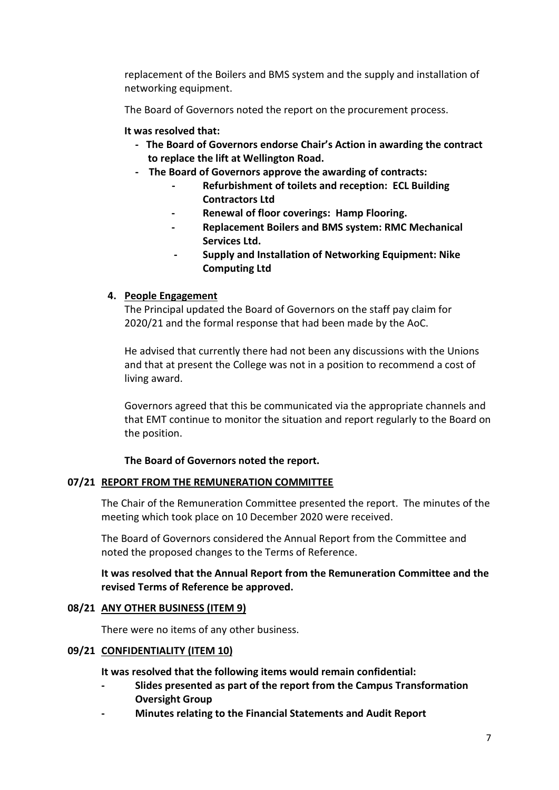replacement of the Boilers and BMS system and the supply and installation of networking equipment.

The Board of Governors noted the report on the procurement process.

## **It was resolved that:**

- **The Board of Governors endorse Chair's Action in awarding the contract to replace the lift at Wellington Road.**
- **The Board of Governors approve the awarding of contracts:**
	- **- Refurbishment of toilets and reception: ECL Building Contractors Ltd**
	- **- Renewal of floor coverings: Hamp Flooring.**
	- **- Replacement Boilers and BMS system: RMC Mechanical Services Ltd.**
	- **- Supply and Installation of Networking Equipment: Nike Computing Ltd**

## **4. People Engagement**

The Principal updated the Board of Governors on the staff pay claim for 2020/21 and the formal response that had been made by the AoC.

He advised that currently there had not been any discussions with the Unions and that at present the College was not in a position to recommend a cost of living award.

Governors agreed that this be communicated via the appropriate channels and that EMT continue to monitor the situation and report regularly to the Board on the position.

#### **The Board of Governors noted the report.**

## **07/21 REPORT FROM THE REMUNERATION COMMITTEE**

The Chair of the Remuneration Committee presented the report. The minutes of the meeting which took place on 10 December 2020 were received.

The Board of Governors considered the Annual Report from the Committee and noted the proposed changes to the Terms of Reference.

# **It was resolved that the Annual Report from the Remuneration Committee and the revised Terms of Reference be approved.**

## **08/21 ANY OTHER BUSINESS (ITEM 9)**

There were no items of any other business.

## **09/21 CONFIDENTIALITY (ITEM 10)**

**It was resolved that the following items would remain confidential:**

- **- Slides presented as part of the report from the Campus Transformation Oversight Group**
- **- Minutes relating to the Financial Statements and Audit Report**